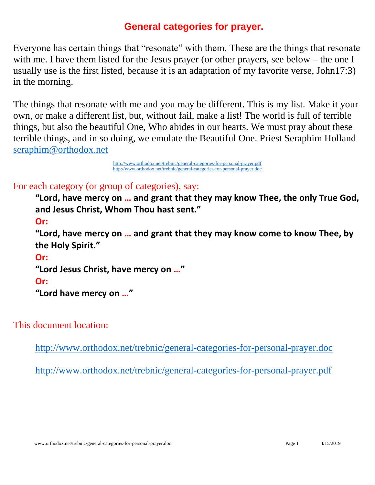# **General categories for prayer.**

<span id="page-0-0"></span>Everyone has certain things that "resonate" with them. These are the things that resonate with me. I have them listed for the Jesus prayer (or other prayers, see below – the one I usually use is the first listed, because it is an adaptation of my favorite verse, John17:3) in the morning.

The things that resonate with me and you may be different. This is my list. Make it your own, or make a different list, but, without fail, make a list! The world is full of terrible things, but also the beautiful One, Who abides in our hearts. We must pray about these terrible things, and in so doing, we emulate the Beautiful One. Priest Seraphim Holland [seraphim@orthodox.net](mailto:seraphim@orthodox.net)

> [http://www.orthodox.net/trebnic/general-categories-for-personal-prayer.pdf](https://www.orthodox.net//trebnic/general-categories-for-personal-prayer.pdf) [http://www.orthodox.net/trebnic/general-categories-for-personal-prayer.doc](https://www.orthodox.net//trebnic/general-categories-for-personal-prayer.doc)

# For each category (or group of categories), say:

**"Lord, have mercy on … and grant that they may know Thee, the only True God, and Jesus Christ, Whom Thou hast sent."**

**Or:** 

**"Lord, have mercy on … and grant that they may know come to know Thee, by the Holy Spirit."**

**Or:** 

```
"Lord Jesus Christ, have mercy on …"
```
**Or:** 

**"Lord have mercy on …"**

This document location:

[http://www.orthodox.net/trebnic/general-categories-for-personal-prayer.doc](https://www.orthodox.net//trebnic/general-categories-for-personal-prayer.doc)

[http://www.orthodox.net/trebnic/general-categories-for-personal-prayer.pdf](https://www.orthodox.net//trebnic/general-categories-for-personal-prayer.pdf)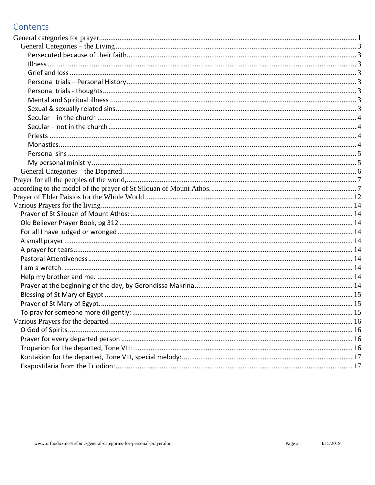# Contents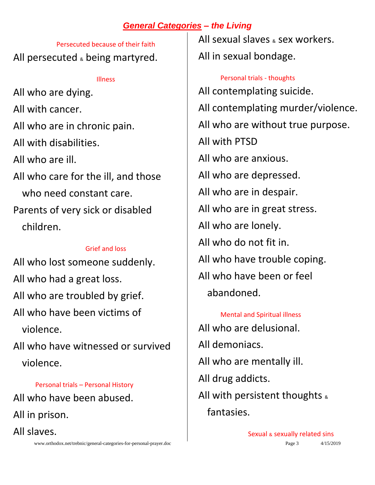# *General Categories – the Living*

<span id="page-2-1"></span><span id="page-2-0"></span>Persecuted because of their faith All persecuted  $\epsilon$  being martyred.

#### Illness

<span id="page-2-2"></span>All who are dying. All with cancer. All who are in chronic pain. All with disabilities. All who are ill. All who care for the ill, and those who need constant care. Parents of very sick or disabled children.

#### Grief and loss

<span id="page-2-3"></span>All who lost someone suddenly. All who had a great loss. All who are troubled by grief. All who have been victims of violence. All who have witnessed or survived

violence.

#### Personal trials – Personal History

<span id="page-2-4"></span>All who have been abused. All in prison. All slaves.

www.orthodox.net/trebnic/general-categories-for-personal-prayer.doc Page 3 4/15/2019

All sexual slaves  $_{8}$  sex workers. All in sexual bondage.

<span id="page-2-5"></span>Personal trials - thoughts All contemplating suicide. All contemplating murder/violence. All who are without true purpose. All with PTSD All who are anxious. All who are depressed. All who are in despair. All who are in great stress. All who are lonely. All who do not fit in. All who have trouble coping. All who have been or feel abandoned.

<span id="page-2-6"></span>Mental and Spiritual illness All who are delusional. All demoniacs. All who are mentally ill. All drug addicts. All with persistent thoughts  $\alpha$ fantasies.

<span id="page-2-7"></span>Sexual & sexually related sins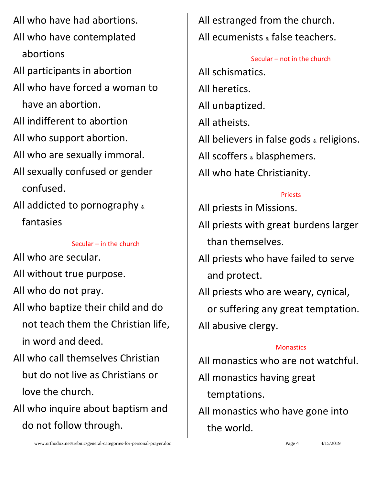All who have had abortions. All who have contemplated abortions All participants in abortion All who have forced a woman to have an abortion. All indifferent to abortion All who support abortion. All who are sexually immoral. All sexually confused or gender confused. All addicted to pornography & fantasies

Secular – in the church

<span id="page-3-0"></span>All who are secular.

All without true purpose.

All who do not pray.

All who baptize their child and do not teach them the Christian life, in word and deed.

All who call themselves Christian but do not live as Christians or love the church.

All who inquire about baptism and do not follow through.

All estranged from the church. All ecumenists & false teachers.

<span id="page-3-1"></span>Secular – not in the church All schismatics. All heretics. All unbaptized. All atheists. All believers in false gods  $*$  religions. All scoffers & blasphemers. All who hate Christianity.

## Priests

<span id="page-3-2"></span>All priests in Missions.

- All priests with great burdens larger than themselves.
- All priests who have failed to serve and protect.
- All priests who are weary, cynical, or suffering any great temptation. All abusive clergy.

## **Monastics**

<span id="page-3-3"></span>All monastics who are not watchful.

All monastics having great

temptations.

All monastics who have gone into the world.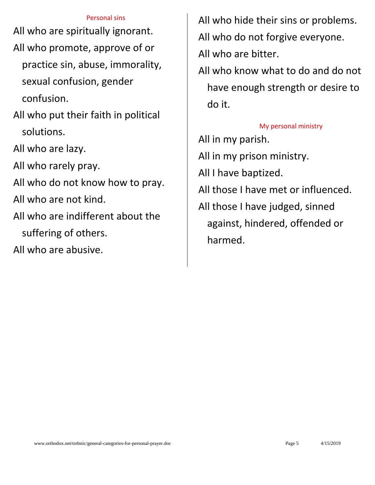#### Personal sins

<span id="page-4-0"></span>All who are spiritually ignorant. All who promote, approve of or practice sin, abuse, immorality, sexual confusion, gender confusion.

- All who put their faith in political solutions.
- All who are lazy.

All who rarely pray.

All who do not know how to pray.

All who are not kind.

All who are indifferent about the

suffering of others.

All who are abusive.

All who hide their sins or problems. All who do not forgive everyone. All who are bitter.

All who know what to do and do not have enough strength or desire to do it.

#### My personal ministry

<span id="page-4-1"></span>All in my parish. All in my prison ministry. All I have baptized. All those I have met or influenced. All those I have judged, sinned against, hindered, offended or harmed.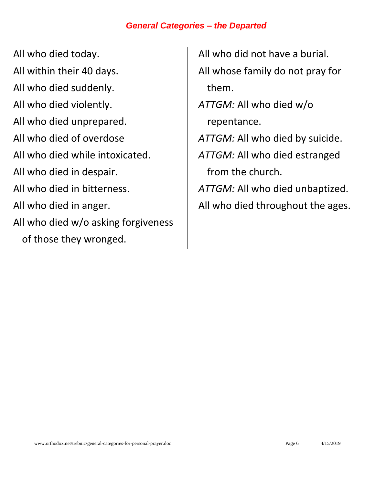## *General Categories – the Departed*

<span id="page-5-0"></span>All who died today. All within their 40 days. All who died suddenly. All who died violently. All who died unprepared. All who died of overdose All who died while intoxicated. All who died in despair. All who died in bitterness. All who died in anger. All who died w/o asking forgiveness of those they wronged.

All who did not have a burial. All whose family do not pray for them. *ATTGM:* All who died w/o repentance. *ATTGM:* All who died by suicide. *ATTGM:* All who died estranged from the church. *ATTGM:* All who died unbaptized. All who died throughout the ages.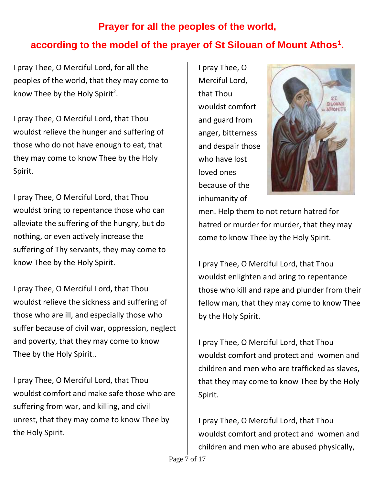# <span id="page-6-1"></span><span id="page-6-0"></span>**Prayer for all the peoples of the world, according to the model of the prayer of St Silouan of Mount Athos<sup>1</sup> .**

I pray Thee, O Merciful Lord, for all the peoples of the world, that they may come to know Thee by the Holy Spirit<sup>2</sup>.

I pray Thee, O Merciful Lord, that Thou wouldst relieve the hunger and suffering of those who do not have enough to eat, that they may come to know Thee by the Holy Spirit.

I pray Thee, O Merciful Lord, that Thou wouldst bring to repentance those who can alleviate the suffering of the hungry, but do nothing, or even actively increase the suffering of Thy servants, they may come to know Thee by the Holy Spirit.

I pray Thee, O Merciful Lord, that Thou wouldst relieve the sickness and suffering of those who are ill, and especially those who suffer because of civil war, oppression, neglect and poverty, that they may come to know Thee by the Holy Spirit..

I pray Thee, O Merciful Lord, that Thou wouldst comfort and make safe those who are suffering from war, and killing, and civil unrest, that they may come to know Thee by the Holy Spirit.

I pray Thee, O Merciful Lord, that Thou wouldst comfort and guard from anger, bitterness and despair those who have lost loved ones because of the inhumanity of



men. Help them to not return hatred for hatred or murder for murder, that they may come to know Thee by the Holy Spirit.

I pray Thee, O Merciful Lord, that Thou wouldst enlighten and bring to repentance those who kill and rape and plunder from their fellow man, that they may come to know Thee by the Holy Spirit.

I pray Thee, O Merciful Lord, that Thou wouldst comfort and protect and women and children and men who are trafficked as slaves, that they may come to know Thee by the Holy Spirit.

I pray Thee, O Merciful Lord, that Thou wouldst comfort and protect and women and children and men who are abused physically,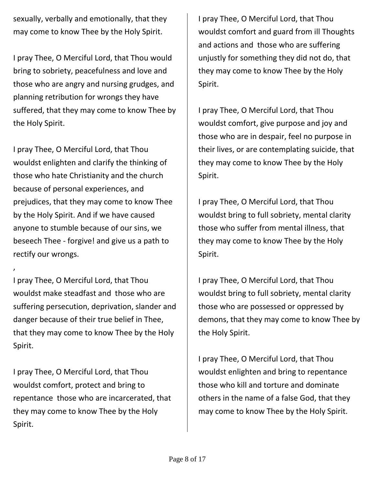sexually, verbally and emotionally, that they may come to know Thee by the Holy Spirit.

I pray Thee, O Merciful Lord, that Thou would bring to sobriety, peacefulness and love and those who are angry and nursing grudges, and planning retribution for wrongs they have suffered, that they may come to know Thee by the Holy Spirit.

I pray Thee, O Merciful Lord, that Thou wouldst enlighten and clarify the thinking of those who hate Christianity and the church because of personal experiences, and prejudices, that they may come to know Thee by the Holy Spirit. And if we have caused anyone to stumble because of our sins, we beseech Thee - forgive! and give us a path to rectify our wrongs.

I pray Thee, O Merciful Lord, that Thou wouldst make steadfast and those who are suffering persecution, deprivation, slander and danger because of their true belief in Thee, that they may come to know Thee by the Holy Spirit.

,

I pray Thee, O Merciful Lord, that Thou wouldst comfort, protect and bring to repentance those who are incarcerated, that they may come to know Thee by the Holy Spirit.

I pray Thee, O Merciful Lord, that Thou wouldst comfort and guard from ill Thoughts and actions and those who are suffering unjustly for something they did not do, that they may come to know Thee by the Holy Spirit.

I pray Thee, O Merciful Lord, that Thou wouldst comfort, give purpose and joy and those who are in despair, feel no purpose in their lives, or are contemplating suicide, that they may come to know Thee by the Holy Spirit.

I pray Thee, O Merciful Lord, that Thou wouldst bring to full sobriety, mental clarity those who suffer from mental illness, that they may come to know Thee by the Holy Spirit.

I pray Thee, O Merciful Lord, that Thou wouldst bring to full sobriety, mental clarity those who are possessed or oppressed by demons, that they may come to know Thee by the Holy Spirit.

I pray Thee, O Merciful Lord, that Thou wouldst enlighten and bring to repentance those who kill and torture and dominate others in the name of a false God, that they may come to know Thee by the Holy Spirit.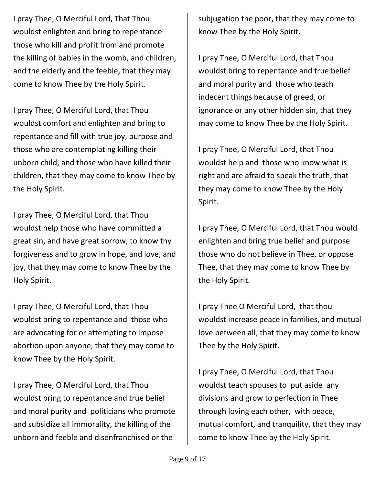I pray Thee, O Merciful Lord, That Thou wouldst enlighten and bring to repentance those who kill and profit from and promote the killing of babies in the womb, and children, and the elderly and the feeble, that they may come to know Thee by the Holy Spirit.

I pray Thee, O Merciful Lord, that Thou wouldst comfort and enlighten and bring to repentance and fill with true joy, purpose and those who are contemplating killing their unborn child, and those who have killed their children, that they may come to know Thee by the Holy Spirit.

I pray Thee, O Merciful Lord, that Thou wouldst help those who have committed a great sin, and have great sorrow, to know thy forgiveness and to grow in hope, and love, and joy, that they may come to know Thee by the Holy Spirit.

I pray Thee, O Merciful Lord, that Thou wouldst bring to repentance and those who are advocating for or attempting to impose abortion upon anyone, that they may come to know Thee by the Holy Spirit.

I pray Thee, O Merciful Lord, that Thou wouldst bring to repentance and true belief and moral purity and politicians who promote and subsidize all immorality, the killing of the unborn and feeble and disenfranchised or the

subjugation the poor, that they may come to know Thee by the Holy Spirit.

I pray Thee, O Merciful Lord, that Thou wouldst bring to repentance and true belief and moral purity and those who teach indecent things because of greed, or ignorance or any other hidden sin, that they may come to know Thee by the Holy Spirit.

I pray Thee, O Merciful Lord, that Thou wouldst help and those who know what is right and are afraid to speak the truth, that they may come to know Thee by the Holy Spirit.

I pray Thee, O Merciful Lord, that Thou would enlighten and bring true belief and purpose those who do not believe in Thee, or oppose Thee, that they may come to know Thee by the Holy Spirit.

I pray Thee O Merciful Lord, that thou wouldst increase peace in families, and mutual love between all, that they may come to know Thee by the Holy Spirit.

I pray Thee, O Merciful Lord, that Thou wouldst teach spouses to put aside any divisions and grow to perfection in Thee through loving each other, with peace, mutual comfort, and tranquility, that they may come to know Thee by the Holy Spirit.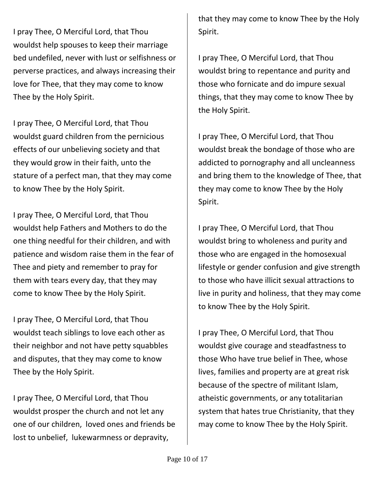I pray Thee, O Merciful Lord, that Thou wouldst help spouses to keep their marriage bed undefiled, never with lust or selfishness or perverse practices, and always increasing their love for Thee, that they may come to know Thee by the Holy Spirit.

I pray Thee, O Merciful Lord, that Thou wouldst guard children from the pernicious effects of our unbelieving society and that they would grow in their faith, unto the stature of a perfect man, that they may come to know Thee by the Holy Spirit.

I pray Thee, O Merciful Lord, that Thou wouldst help Fathers and Mothers to do the one thing needful for their children, and with patience and wisdom raise them in the fear of Thee and piety and remember to pray for them with tears every day, that they may come to know Thee by the Holy Spirit.

I pray Thee, O Merciful Lord, that Thou wouldst teach siblings to love each other as their neighbor and not have petty squabbles and disputes, that they may come to know Thee by the Holy Spirit.

I pray Thee, O Merciful Lord, that Thou wouldst prosper the church and not let any one of our children, loved ones and friends be lost to unbelief, lukewarmness or depravity,

that they may come to know Thee by the Holy Spirit.

I pray Thee, O Merciful Lord, that Thou wouldst bring to repentance and purity and those who fornicate and do impure sexual things, that they may come to know Thee by the Holy Spirit.

I pray Thee, O Merciful Lord, that Thou wouldst break the bondage of those who are addicted to pornography and all uncleanness and bring them to the knowledge of Thee, that they may come to know Thee by the Holy Spirit.

I pray Thee, O Merciful Lord, that Thou wouldst bring to wholeness and purity and those who are engaged in the homosexual lifestyle or gender confusion and give strength to those who have illicit sexual attractions to live in purity and holiness, that they may come to know Thee by the Holy Spirit.

I pray Thee, O Merciful Lord, that Thou wouldst give courage and steadfastness to those Who have true belief in Thee, whose lives, families and property are at great risk because of the spectre of militant Islam, atheistic governments, or any totalitarian system that hates true Christianity, that they may come to know Thee by the Holy Spirit.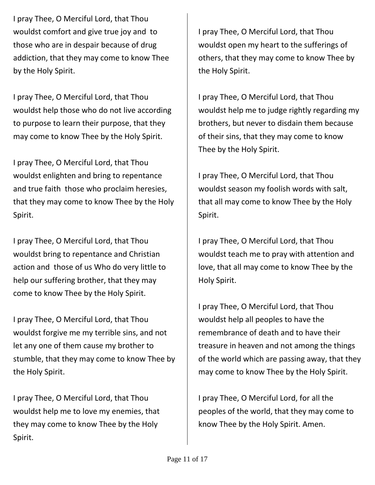I pray Thee, O Merciful Lord, that Thou wouldst comfort and give true joy and to those who are in despair because of drug addiction, that they may come to know Thee by the Holy Spirit.

I pray Thee, O Merciful Lord, that Thou wouldst help those who do not live according to purpose to learn their purpose, that they may come to know Thee by the Holy Spirit.

I pray Thee, O Merciful Lord, that Thou wouldst enlighten and bring to repentance and true faith those who proclaim heresies, that they may come to know Thee by the Holy Spirit.

I pray Thee, O Merciful Lord, that Thou wouldst bring to repentance and Christian action and those of us Who do very little to help our suffering brother, that they may come to know Thee by the Holy Spirit.

I pray Thee, O Merciful Lord, that Thou wouldst forgive me my terrible sins, and not let any one of them cause my brother to stumble, that they may come to know Thee by the Holy Spirit.

I pray Thee, O Merciful Lord, that Thou wouldst help me to love my enemies, that they may come to know Thee by the Holy Spirit.

I pray Thee, O Merciful Lord, that Thou wouldst open my heart to the sufferings of others, that they may come to know Thee by the Holy Spirit.

I pray Thee, O Merciful Lord, that Thou wouldst help me to judge rightly regarding my brothers, but never to disdain them because of their sins, that they may come to know Thee by the Holy Spirit.

I pray Thee, O Merciful Lord, that Thou wouldst season my foolish words with salt, that all may come to know Thee by the Holy Spirit.

I pray Thee, O Merciful Lord, that Thou wouldst teach me to pray with attention and love, that all may come to know Thee by the Holy Spirit.

I pray Thee, O Merciful Lord, that Thou wouldst help all peoples to have the remembrance of death and to have their treasure in heaven and not among the things of the world which are passing away, that they may come to know Thee by the Holy Spirit.

I pray Thee, O Merciful Lord, for all the peoples of the world, that they may come to know Thee by the Holy Spirit. Amen.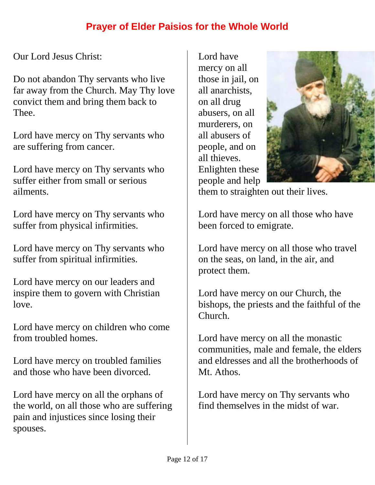# **Prayer of Elder Paisios for the Whole World**

<span id="page-11-0"></span>Our Lord Jesus Christ:

Do not abandon Thy servants who live far away from the Church. May Thy love convict them and bring them back to Thee.

Lord have mercy on Thy servants who are suffering from cancer.

Lord have mercy on Thy servants who suffer either from small or serious ailments.

Lord have mercy on Thy servants who suffer from physical infirmities.

Lord have mercy on Thy servants who suffer from spiritual infirmities.

Lord have mercy on our leaders and inspire them to govern with Christian love.

Lord have mercy on children who come from troubled homes.

Lord have mercy on troubled families and those who have been divorced.

Lord have mercy on all the orphans of the world, on all those who are suffering pain and injustices since losing their spouses.

Lord have mercy on all those in jail, on all anarchists, on all drug abusers, on all murderers, on all abusers of people, and on all thieves. Enlighten these people and help



them to straighten out their lives.

Lord have mercy on all those who have been forced to emigrate.

Lord have mercy on all those who travel on the seas, on land, in the air, and protect them.

Lord have mercy on our Church, the bishops, the priests and the faithful of the Church.

Lord have mercy on all the monastic communities, male and female, the elders and eldresses and all the brotherhoods of Mt. Athos.

Lord have mercy on Thy servants who find themselves in the midst of war.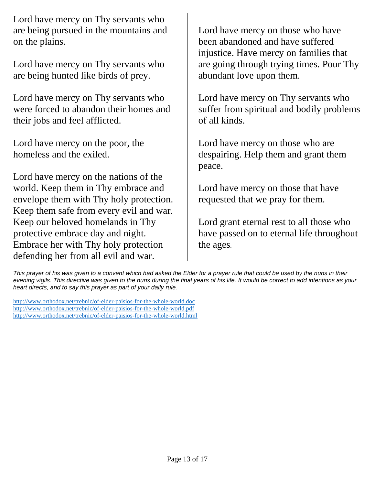Lord have mercy on Thy servants who are being pursued in the mountains and on the plains.

Lord have mercy on Thy servants who are being hunted like birds of prey.

Lord have mercy on Thy servants who were forced to abandon their homes and their jobs and feel afflicted.

Lord have mercy on the poor, the homeless and the exiled.

Lord have mercy on the nations of the world. Keep them in Thy embrace and envelope them with Thy holy protection. Keep them safe from every evil and war. Keep our beloved homelands in Thy protective embrace day and night. Embrace her with Thy holy protection defending her from all evil and war.

Lord have mercy on those who have been abandoned and have suffered injustice. Have mercy on families that are going through trying times. Pour Thy abundant love upon them.

Lord have mercy on Thy servants who suffer from spiritual and bodily problems of all kinds.

Lord have mercy on those who are despairing. Help them and grant them peace.

Lord have mercy on those that have requested that we pray for them.

Lord grant eternal rest to all those who have passed on to eternal life throughout the ages.

*This prayer of his was given to a convent which had asked the Elder for a prayer rule that could be used by the nuns in their evening vigils. This directive was given to the nuns during the final years of his life. It would be correct to add intentions as your heart directs, and to say this prayer as part of your daily rule.*

[http://www.orthodox.net/trebnic/of-elder-paisios-for-the-whole-world.doc](https://www.orthodox.net//trebnic/of-elder-paisios-for-the-whole-world.doc) [http://www.orthodox.net/trebnic/of-elder-paisios-for-the-whole-world.pdf](https://www.orthodox.net//trebnic/of-elder-paisios-for-the-whole-world.pdf) [http://www.orthodox.net/trebnic/of-elder-paisios-for-the-whole-world.html](https://www.orthodox.net//trebnic/of-elder-paisios-for-the-whole-world.html)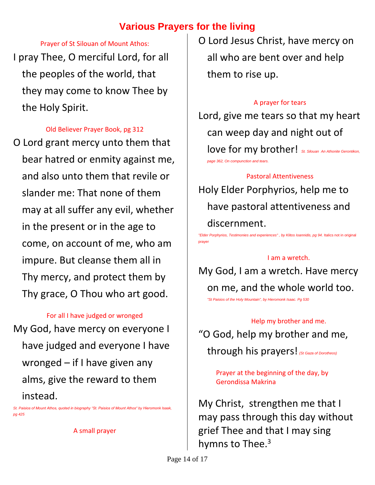# **Various Prayers for the living**

#### Prayer of St Silouan of Mount Athos:

<span id="page-13-1"></span><span id="page-13-0"></span>I pray Thee, O merciful Lord, for all the peoples of the world, that they may come to know Thee by the Holy Spirit.

#### Old Believer Prayer Book, pg 312

<span id="page-13-2"></span>O Lord grant mercy unto them that bear hatred or enmity against me, and also unto them that revile or slander me: That none of them may at all suffer any evil, whether in the present or in the age to come, on account of me, who am impure. But cleanse them all in Thy mercy, and protect them by Thy grace, O Thou who art good.

#### For all I have judged or wronged

<span id="page-13-3"></span>My God, have mercy on everyone I have judged and everyone I have wronged – if I have given any alms, give the reward to them instead.

<span id="page-13-4"></span>*St. Paisios of Mount Athos, quoted in biography "St. Paisios of Mount Athos" by Hieromonk Isaak, pg 425*

A small prayer

O Lord Jesus Christ, have mercy on all who are bent over and help them to rise up.

#### A prayer for tears

<span id="page-13-5"></span>Lord, give me tears so that my heart can weep day and night out of love for my brother! *St. Silouan An Athonite Gerontikon*, *page 362, On compunction and tears.*

#### Pastoral Attentiveness

<span id="page-13-6"></span>Holy Elder Porphyrios, help me to have pastoral attentiveness and discernment.

<span id="page-13-7"></span>*"Elder Porphyrios, Testimonies and experiences" , by Klitos Ioannidis, pg 94.* Italics not in original prayer

#### I am a wretch.

My God, I am a wretch. Have mercy on me, and the whole world too.

*"St Paisios of the Holy Mountain", by Hieromonk Isaac. Pg 530*

<span id="page-13-8"></span>Help my brother and me. "O God, help my brother and me, through his prayers! *(St Gaza of Dorotheos)*

> <span id="page-13-9"></span>Prayer at the beginning of the day, by Gerondissa Makrina

My Christ, strengthen me that I may pass through this day without grief Thee and that I may sing hymns to Thee. $3$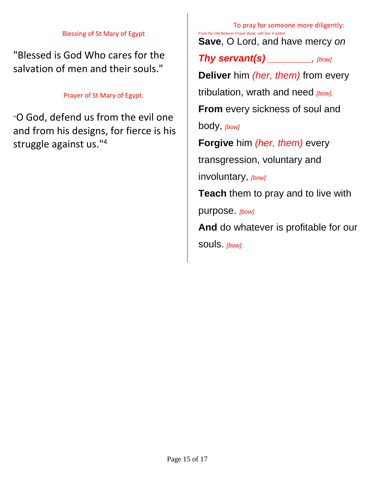#### Blessing of St Mary of Egypt

<span id="page-14-0"></span>"Blessed is God Who cares for the salvation of men and their souls."

#### Prayer of St Mary of Egypt.

<span id="page-14-1"></span>"O God, defend us from the evil one and from his designs, for fierce is his struggle against us."<sup>4</sup>

<span id="page-14-2"></span>To pray for someone more diligently: *From the Old Believer Prayer Book, with line 4 added*  **Save**, O Lord, and have mercy *on* 

*Thy servant(s) \_\_\_\_\_\_\_\_, [bow]*

**Deliver** him *(her, them)* from every

tribulation, wrath and need *[bow],* 

**From** every sickness of soul and

body, *[bow]*

**Forgive** him *(her, them)* every

transgression, voluntary and

involuntary, *[bow]*

**Teach** them to pray and to live with

purpose. *[bow]*

**And** do whatever is profitable for our souls. *[bow].*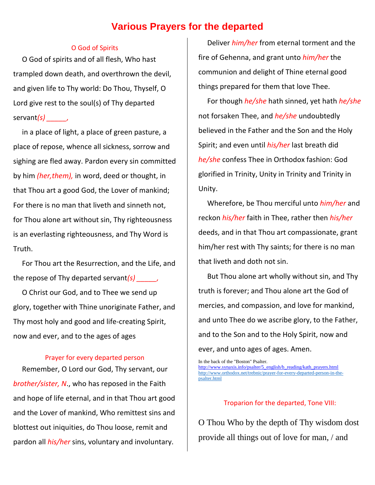## **Various Prayers for the departed**

#### O God of Spirits

<span id="page-15-1"></span><span id="page-15-0"></span>O God of spirits and of all flesh, Who hast trampled down death, and overthrown the devil, and given life to Thy world: Do Thou, Thyself, O Lord give rest to the soul(s) of Thy departed servant*(s)* 

in a place of light, a place of green pasture, a place of repose, whence all sickness, sorrow and sighing are fled away. Pardon every sin committed by him *(her,them),* in word, deed or thought, in that Thou art a good God, the Lover of mankind; For there is no man that liveth and sinneth not, for Thou alone art without sin, Thy righteousness is an everlasting righteousness, and Thy Word is Truth.

For Thou art the Resurrection, and the Life, and the repose of Thy departed servant*(s) \_\_\_\_\_,* 

O Christ our God, and to Thee we send up glory, together with Thine unoriginate Father, and Thy most holy and good and life-creating Spirit, now and ever, and to the ages of ages

#### Prayer for every departed person

<span id="page-15-2"></span>Remember, O Lord our God, Thy servant, our *brother/sister, N*., who has reposed in the Faith and hope of life eternal, and in that Thou art good and the Lover of mankind, Who remittest sins and blottest out iniquities, do Thou loose, remit and pardon all *his/her* sins, voluntary and involuntary.

Deliver *him/her* from eternal torment and the fire of Gehenna, and grant unto *him/her* the communion and delight of Thine eternal good things prepared for them that love Thee.

For though *he/she* hath sinned, yet hath *he/she* not forsaken Thee, and *he/she* undoubtedly believed in the Father and the Son and the Holy Spirit; and even until *his/her* last breath did *he/she* confess Thee in Orthodox fashion: God glorified in Trinity, Unity in Trinity and Trinity in Unity.

Wherefore, be Thou merciful unto *him/her* and reckon *his/her* faith in Thee, rather then *his/her* deeds, and in that Thou art compassionate, grant him/her rest with Thy saints; for there is no man that liveth and doth not sin.

But Thou alone art wholly without sin, and Thy truth is forever; and Thou alone art the God of mercies, and compassion, and love for mankind, and unto Thee do we ascribe glory, to the Father, and to the Son and to the Holy Spirit, now and ever, and unto ages of ages. Amen.

In the back of the "Boston" Psalter. [http://www.synaxis.info/psalter/5\\_english/b\\_reading/kath\\_prayers.html](http://www.synaxis.info/psalter/5_english/b_reading/kath_prayers.html) [http://www.orthodox.net/trebnic/prayer-for-every-departed-person-in-the](https://www.orthodox.net//trebnic/prayer-for-every-departed-person-in-the-psalter.html)[psalter.html](https://www.orthodox.net//trebnic/prayer-for-every-departed-person-in-the-psalter.html)

#### Troparion for the departed, Tone VIII:

<span id="page-15-3"></span>O Thou Who by the depth of Thy wisdom dost provide all things out of love for man, / and